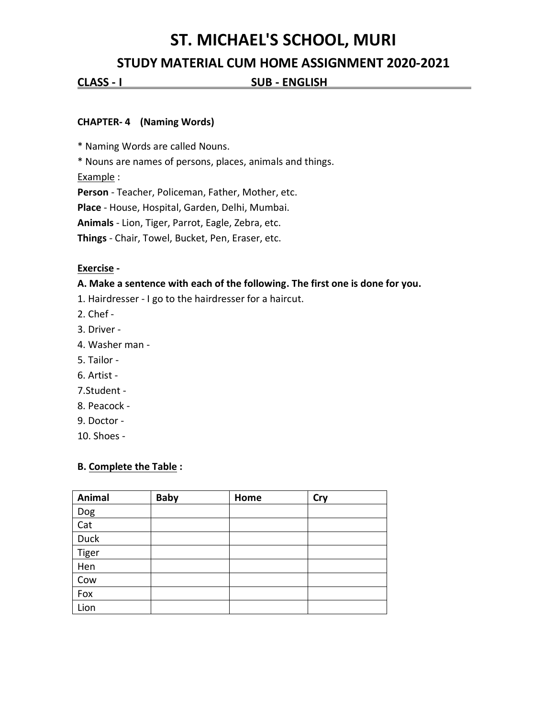# **ST. MICHAEL'S SCHOOL, MURI**

# **STUDY MATERIAL CUM HOME ASSIGNMENT 2020-2021**

**CLASS - I SUB - ENGLISH** .

## **CHAPTER- 4 (Naming Words)**

\* Naming Words are called Nouns.

\* Nouns are names of persons, places, animals and things.

Example :

**Person** - Teacher, Policeman, Father, Mother, etc.

**Place** - House, Hospital, Garden, Delhi, Mumbai.

**Animals** - Lion, Tiger, Parrot, Eagle, Zebra, etc.

**Things** - Chair, Towel, Bucket, Pen, Eraser, etc.

## **Exercise -**

#### **A. Make a sentence with each of the following. The first one is done for you.**

1. Hairdresser - I go to the hairdresser for a haircut.

- 2. Chef -
- 3. Driver -
- 4. Washer man -
- 5. Tailor -
- 6. Artist -
- 7.Student -
- 8. Peacock -
- 9. Doctor -

10. Shoes -

#### **B. Complete the Table :**

| Animal                  | <b>Baby</b> | Home | <b>Cry</b> |
|-------------------------|-------------|------|------------|
| Dog                     |             |      |            |
| $\overline{\text{Cat}}$ |             |      |            |
| <b>Duck</b>             |             |      |            |
| Tiger                   |             |      |            |
| Hen                     |             |      |            |
| Cow                     |             |      |            |
| Fox                     |             |      |            |
| Lion                    |             |      |            |